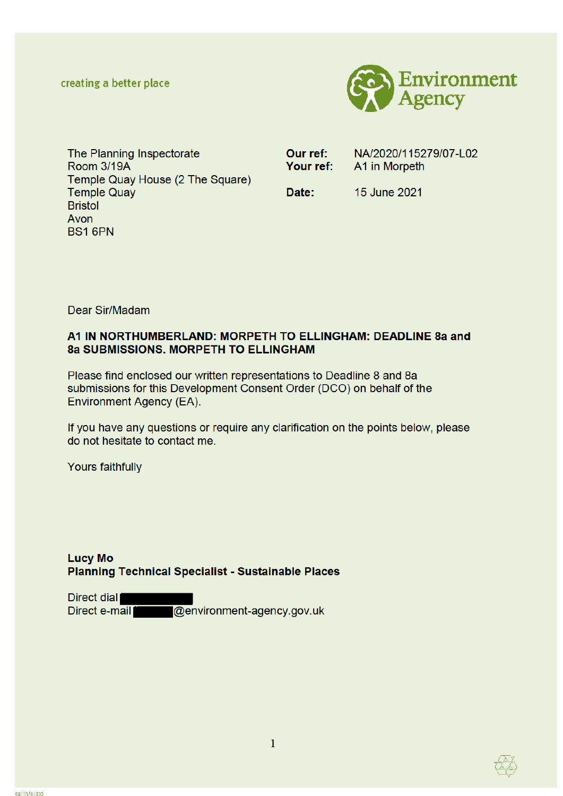creating a better place



The Planning Inspectorate **Room 3/19A** Temple Quay House (2 The Square) **Temple Quay Bristol** Avon **BS1 6PN** 

Our ref: NA/2020/115279/07-L02 Your ref: A1 in Morpeth

Date:

15 June 2021

Dear Sir/Madam

# A1 IN NORTHUMBERLAND: MORPETH TO ELLINGHAM: DEADLINE 8a and **8a SUBMISSIONS, MORPETH TO ELLINGHAM**

Please find enclosed our written representations to Deadline 8 and 8a submissions for this Development Consent Order (DCO) on behalf of the Environment Agency (EA).

If you have any questions or require any clarification on the points below, please do not hesitate to contact me.

Yours faithfully

# **Lucy Mo Planning Technical Specialist - Sustainable Places**

Direct dial Direct e-mail @environment-agency.gov.uk